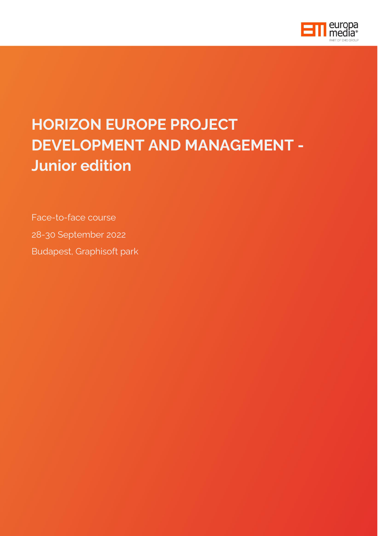

## **HORIZON EUROPE PROJECT DEVELOPMENT AND MANAGEMENT - Junior edition**

Face-to-face course 28-30 September 2022 Budapest, Graphisoft park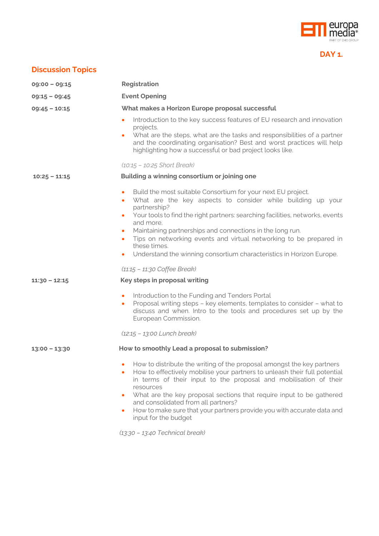

## **DAY 1.**

## **Discussion Topics**

| $09:00 - 09:15$ | Registration                                                                                                                                                                                                                                                                                                                                                                                                                                                                                                                                                             |
|-----------------|--------------------------------------------------------------------------------------------------------------------------------------------------------------------------------------------------------------------------------------------------------------------------------------------------------------------------------------------------------------------------------------------------------------------------------------------------------------------------------------------------------------------------------------------------------------------------|
| $09:15 - 09:45$ | <b>Event Opening</b>                                                                                                                                                                                                                                                                                                                                                                                                                                                                                                                                                     |
| $09:45 - 10:15$ | What makes a Horizon Europe proposal successful                                                                                                                                                                                                                                                                                                                                                                                                                                                                                                                          |
|                 | Introduction to the key success features of EU research and innovation<br>$\bullet$<br>projects.<br>What are the steps, what are the tasks and responsibilities of a partner<br>and the coordinating organisation? Best and worst practices will help<br>highlighting how a successful or bad project looks like.                                                                                                                                                                                                                                                        |
|                 | $(10.15 - 10.25$ Short Break)                                                                                                                                                                                                                                                                                                                                                                                                                                                                                                                                            |
| $10:25 - 11:15$ | Building a winning consortium or joining one                                                                                                                                                                                                                                                                                                                                                                                                                                                                                                                             |
|                 | Build the most suitable Consortium for your next EU project.<br>$\bullet$<br>What are the key aspects to consider while building up your<br>$\bullet$<br>partnership?<br>Your tools to find the right partners: searching facilities, networks, events<br>$\bullet$<br>and more.<br>Maintaining partnerships and connections in the long run.<br>$\bullet$<br>Tips on networking events and virtual networking to be prepared in<br>$\bullet$<br>these times.<br>Understand the winning consortium characteristics in Horizon Europe.<br>$(11.15 - 11.30)$ Coffee Break) |
| $11:30 - 12:15$ | Key steps in proposal writing                                                                                                                                                                                                                                                                                                                                                                                                                                                                                                                                            |
|                 | Introduction to the Funding and Tenders Portal<br>$\bullet$<br>Proposal writing steps - key elements, templates to consider - what to<br>$\bullet$<br>discuss and when. Intro to the tools and procedures set up by the<br>European Commission.                                                                                                                                                                                                                                                                                                                          |
|                 | (12:15 - 13:00 Lunch break)                                                                                                                                                                                                                                                                                                                                                                                                                                                                                                                                              |
| $13:00 - 13:30$ | How to smoothly Lead a proposal to submission?                                                                                                                                                                                                                                                                                                                                                                                                                                                                                                                           |
|                 | • How to distribute the writing of the proposal amongst the key partners<br>How to effectively mobilise your partners to unleash their full potential<br>$\bullet$<br>in terms of their input to the proposal and mobilisation of their<br>resources<br>What are the key proposal sections that require input to be gathered<br>$\bullet$<br>and consolidated from all partners?<br>How to make sure that your partners provide you with accurate data and<br>$\bullet$<br>input for the budget<br>(13:30 - 13:40 Technical break)                                       |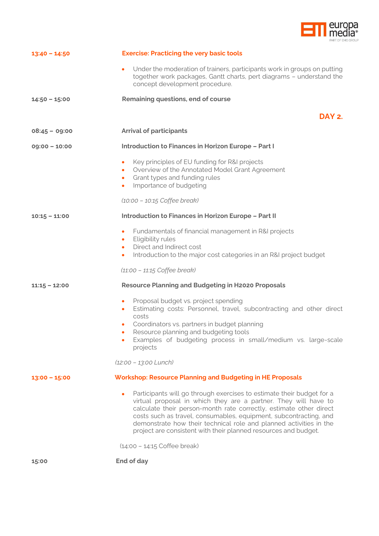

| $13:40 - 14:50$ | <b>Exercise: Practicing the very basic tools</b>                                                                                                                                                                                                                                                                                                                                                                             |
|-----------------|------------------------------------------------------------------------------------------------------------------------------------------------------------------------------------------------------------------------------------------------------------------------------------------------------------------------------------------------------------------------------------------------------------------------------|
|                 | Under the moderation of trainers, participants work in groups on putting<br>$\bullet$<br>together work packages, Gantt charts, pert diagrams - understand the<br>concept development procedure.                                                                                                                                                                                                                              |
| $14:50 - 15:00$ | Remaining questions, end of course                                                                                                                                                                                                                                                                                                                                                                                           |
|                 | DAY 2.                                                                                                                                                                                                                                                                                                                                                                                                                       |
| $08:45 - 09:00$ | <b>Arrival of participants</b>                                                                                                                                                                                                                                                                                                                                                                                               |
| $09:00 - 10:00$ | <b>Introduction to Finances in Horizon Europe - Part I</b>                                                                                                                                                                                                                                                                                                                                                                   |
|                 | Key principles of EU funding for R&I projects<br>٠<br>Overview of the Annotated Model Grant Agreement<br>$\bullet$<br>Grant types and funding rules<br>$\bullet$<br>Importance of budgeting<br>٠                                                                                                                                                                                                                             |
|                 | (10:00 - 10:15 Coffee break)                                                                                                                                                                                                                                                                                                                                                                                                 |
| $10:15 - 11:00$ | Introduction to Finances in Horizon Europe - Part II                                                                                                                                                                                                                                                                                                                                                                         |
|                 | Fundamentals of financial management in R&I projects<br>٠<br>Eligibility rules<br>$\bullet$<br>Direct and Indirect cost<br>$\bullet$<br>Introduction to the major cost categories in an R&I project budget<br>٠                                                                                                                                                                                                              |
|                 | $(11.00 - 11.15)$ Coffee break)                                                                                                                                                                                                                                                                                                                                                                                              |
| $11:15 - 12:00$ | <b>Resource Planning and Budgeting in H2020 Proposals</b><br>Proposal budget vs. project spending<br>٠<br>Estimating costs: Personnel, travel, subcontracting and other direct<br>٠<br>costs<br>Coordinators vs. partners in budget planning<br>۰<br>Resource planning and budgeting tools<br>۰<br>Examples of budgeting process in small/medium vs. large-scale<br>projects<br>$(12.00 - 13.00$ Lunch)                      |
| $13:00 - 15:00$ | <b>Workshop: Resource Planning and Budgeting in HE Proposals</b>                                                                                                                                                                                                                                                                                                                                                             |
|                 | Participants will go through exercises to estimate their budget for a<br>virtual proposal in which they are a partner. They will have to<br>calculate their person-month rate correctly, estimate other direct<br>costs such as travel, consumables, equipment, subcontracting, and<br>demonstrate how their technical role and planned activities in the<br>project are consistent with their planned resources and budget. |
|                 | $(14:00 - 14:15)$ Coffee break)                                                                                                                                                                                                                                                                                                                                                                                              |
| 15:00           | End of day                                                                                                                                                                                                                                                                                                                                                                                                                   |